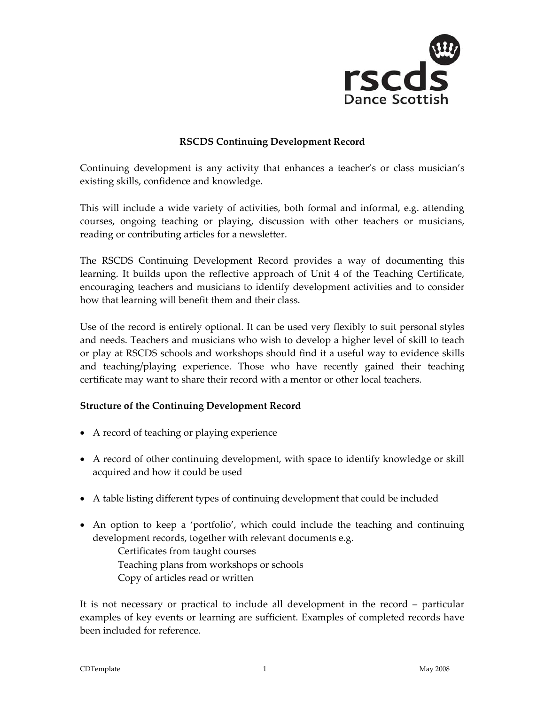

#### **RSCDS Continuing Development Record**

Continuing development is any activity that enhances a teacher's or class musician's existing skills, confidence and knowledge.

This will include a wide variety of activities, both formal and informal, e.g. attending courses, ongoing teaching or playing, discussion with other teachers or musicians, reading or contributing articles for a newsletter.

The RSCDS Continuing Development Record provides a way of documenting this learning. It builds upon the reflective approach of Unit 4 of the Teaching Certificate, encouraging teachers and musicians to identify development activities and to consider how that learning will benefit them and their class.

Use of the record is entirely optional. It can be used very flexibly to suit personal styles and needs. Teachers and musicians who wish to develop a higher level of skill to teach or play at RSCDS schools and workshops should find it a useful way to evidence skills and teaching/playing experience. Those who have recently gained their teaching certificate may want to share their record with a mentor or other local teachers.

## **Structure of the Continuing Development Record**

- A record of teaching or playing experience
- A record of other continuing development, with space to identify knowledge or skill acquired and how it could be used
- A table listing different types of continuing development that could be included
- An option to keep a 'portfolio', which could include the teaching and continuing development records, together with relevant documents e.g.

Certificates from taught courses Teaching plans from workshops or schools Copy of articles read or written

It is not necessary or practical to include all development in the record – particular examples of key events or learning are sufficient. Examples of completed records have been included for reference.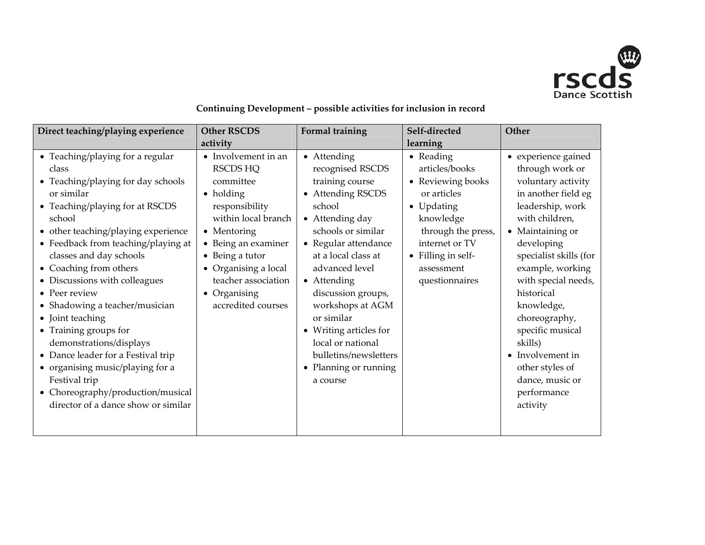

# **Continuing Development – possible activities for inclusion in record**

| Direct teaching/playing experience                                                                                                                                                                                                                                                                                                                                                                                                                                                                                                                                                                               | <b>Other RSCDS</b>                                                                                                                                                                                                                               | Formal training                                                                                                                                                                                                                                                                                                                                                                 | Self-directed                                                                                                                                                                            | Other                                                                                                                                                                                                                                                                                                                                                                                             |
|------------------------------------------------------------------------------------------------------------------------------------------------------------------------------------------------------------------------------------------------------------------------------------------------------------------------------------------------------------------------------------------------------------------------------------------------------------------------------------------------------------------------------------------------------------------------------------------------------------------|--------------------------------------------------------------------------------------------------------------------------------------------------------------------------------------------------------------------------------------------------|---------------------------------------------------------------------------------------------------------------------------------------------------------------------------------------------------------------------------------------------------------------------------------------------------------------------------------------------------------------------------------|------------------------------------------------------------------------------------------------------------------------------------------------------------------------------------------|---------------------------------------------------------------------------------------------------------------------------------------------------------------------------------------------------------------------------------------------------------------------------------------------------------------------------------------------------------------------------------------------------|
|                                                                                                                                                                                                                                                                                                                                                                                                                                                                                                                                                                                                                  | activity                                                                                                                                                                                                                                         |                                                                                                                                                                                                                                                                                                                                                                                 | learning                                                                                                                                                                                 |                                                                                                                                                                                                                                                                                                                                                                                                   |
| • Teaching/playing for a regular<br>class<br>• Teaching/playing for day schools<br>or similar<br>• Teaching/playing for at RSCDS<br>school<br>• other teaching/playing experience<br>• Feedback from teaching/playing at<br>classes and day schools<br>• Coaching from others<br>• Discussions with colleagues<br>• Peer review<br>• Shadowing a teacher/musician<br>• Joint teaching<br>• Training groups for<br>demonstrations/displays<br>• Dance leader for a Festival trip<br>• organising music/playing for a<br>Festival trip<br>• Choreography/production/musical<br>director of a dance show or similar | • Involvement in an<br>RSCDS HQ<br>committee<br>• holding<br>responsibility<br>within local branch<br>• Mentoring<br>• Being an examiner<br>• Being a tutor<br>• Organising a local<br>teacher association<br>• Organising<br>accredited courses | • Attending<br>recognised RSCDS<br>training course<br>• Attending RSCDS<br>school<br>• Attending day<br>schools or similar<br>• Regular attendance<br>at a local class at<br>advanced level<br>• Attending<br>discussion groups,<br>workshops at AGM<br>or similar<br>• Writing articles for<br>local or national<br>bulletins/newsletters<br>• Planning or running<br>a course | • Reading<br>articles/books<br>• Reviewing books<br>or articles<br>• Updating<br>knowledge<br>through the press,<br>internet or TV<br>• Filling in self-<br>assessment<br>questionnaires | • experience gained<br>through work or<br>voluntary activity<br>in another field eg<br>leadership, work<br>with children,<br>• Maintaining or<br>developing<br>specialist skills (for<br>example, working<br>with special needs,<br>historical<br>knowledge,<br>choreography,<br>specific musical<br>skills)<br>• Involvement in<br>other styles of<br>dance, music or<br>performance<br>activity |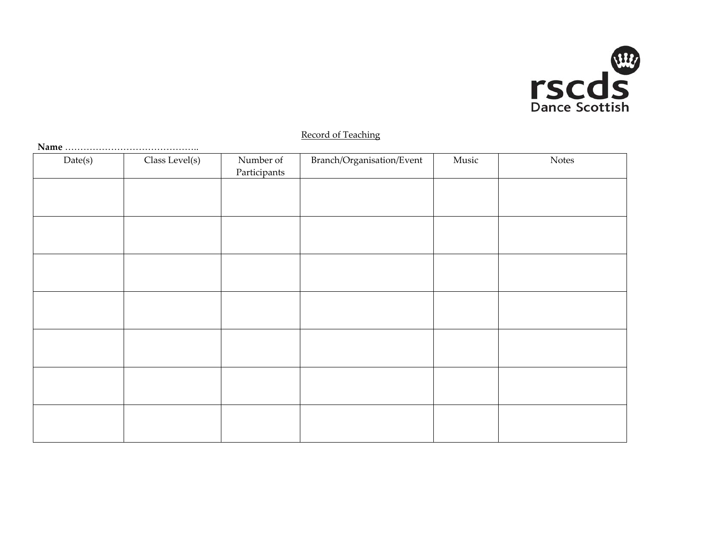

# Record of Teaching

**Name** ……………………………………..

| Date(s) | Class Level(s) | Number of    | Branch/Organisation/Event | Music | Notes |
|---------|----------------|--------------|---------------------------|-------|-------|
|         |                | Participants |                           |       |       |
|         |                |              |                           |       |       |
|         |                |              |                           |       |       |
|         |                |              |                           |       |       |
|         |                |              |                           |       |       |
|         |                |              |                           |       |       |
|         |                |              |                           |       |       |
|         |                |              |                           |       |       |
|         |                |              |                           |       |       |
|         |                |              |                           |       |       |
|         |                |              |                           |       |       |
|         |                |              |                           |       |       |
|         |                |              |                           |       |       |
|         |                |              |                           |       |       |
|         |                |              |                           |       |       |
|         |                |              |                           |       |       |
|         |                |              |                           |       |       |
|         |                |              |                           |       |       |
|         |                |              |                           |       |       |
|         |                |              |                           |       |       |
|         |                |              |                           |       |       |
|         |                |              |                           |       |       |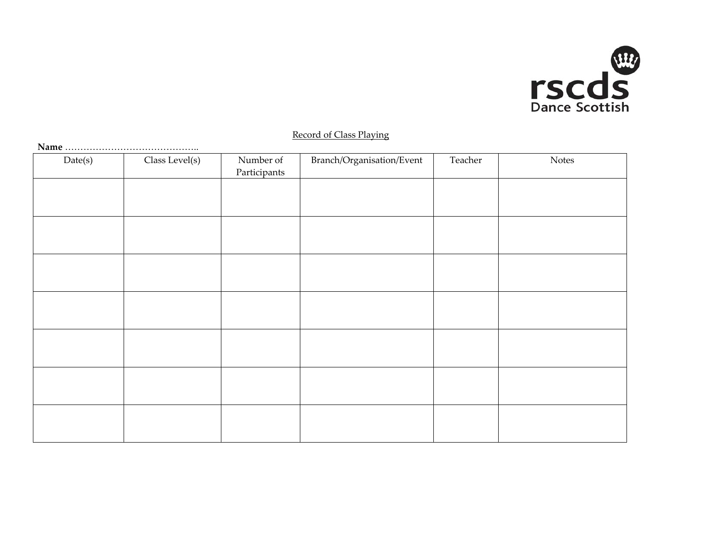

## Record of Class Playing

**Name** ……………………………………..

| Date(s) | Class Level(s) | Number of    | Branch/Organisation/Event | Teacher | Notes |
|---------|----------------|--------------|---------------------------|---------|-------|
|         |                | Participants |                           |         |       |
|         |                |              |                           |         |       |
|         |                |              |                           |         |       |
|         |                |              |                           |         |       |
|         |                |              |                           |         |       |
|         |                |              |                           |         |       |
|         |                |              |                           |         |       |
|         |                |              |                           |         |       |
|         |                |              |                           |         |       |
|         |                |              |                           |         |       |
|         |                |              |                           |         |       |
|         |                |              |                           |         |       |
|         |                |              |                           |         |       |
|         |                |              |                           |         |       |
|         |                |              |                           |         |       |
|         |                |              |                           |         |       |
|         |                |              |                           |         |       |
|         |                |              |                           |         |       |
|         |                |              |                           |         |       |
|         |                |              |                           |         |       |
|         |                |              |                           |         |       |
|         |                |              |                           |         |       |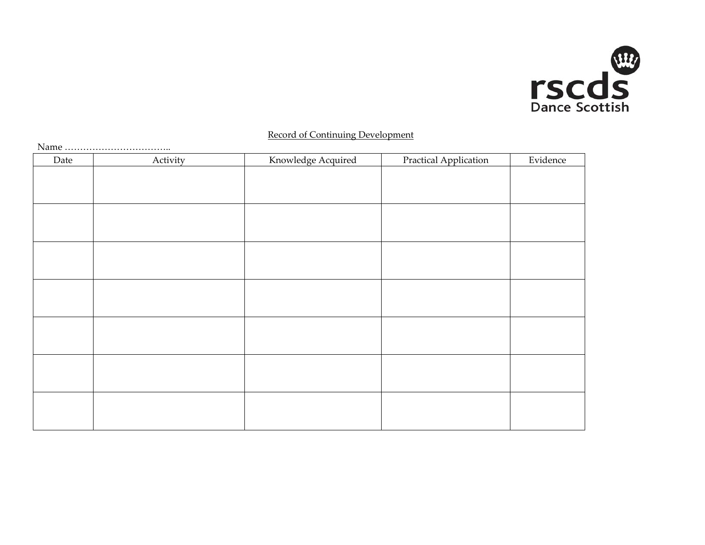

#### Record of Continuing Development

Name ……………………………..

| Date | Activity | Knowledge Acquired | <b>Practical Application</b> | Evidence |
|------|----------|--------------------|------------------------------|----------|
|      |          |                    |                              |          |
|      |          |                    |                              |          |
|      |          |                    |                              |          |
|      |          |                    |                              |          |
|      |          |                    |                              |          |
|      |          |                    |                              |          |
|      |          |                    |                              |          |
|      |          |                    |                              |          |
|      |          |                    |                              |          |
|      |          |                    |                              |          |
|      |          |                    |                              |          |
|      |          |                    |                              |          |
|      |          |                    |                              |          |
|      |          |                    |                              |          |
|      |          |                    |                              |          |
|      |          |                    |                              |          |
|      |          |                    |                              |          |
|      |          |                    |                              |          |
|      |          |                    |                              |          |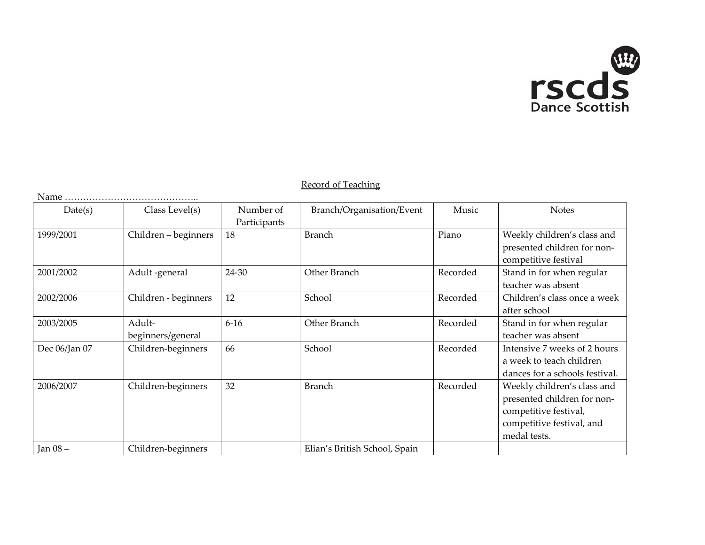

#### Record of Teaching

Name …………………………………….. Date(s) Class Level(s) Number of Participants Branch/Organisation/Event Music Notes 1999/2001 Children – beginners 18 Branch Piano Piano Weekly children's class and presented children for noncompetitive festival 2001/2002 Adult -general 24-30 Other Branch Recorded Stand in for when regular teacher was absent 2002/2006 Children - beginners 12 School Recorded Children's class once a week after school 2003/2005 Adult-Adult-<br>beginners/general 6-16 (Other Branch Recorded Stand in for when regular beginners/general Dec 06/Jan 07 | Children-beginners | 66 | School | Recorded | Intensive 7 weeks of 2 hours a week to teach children dances for a schools festival. 2006/2007 Children-beginners 32 Branch Recorded Weekly children's class and presented children for noncompetitive festival, competitive festival, and medal tests. Jan 08 – Children-beginners Elian's British School, Spain